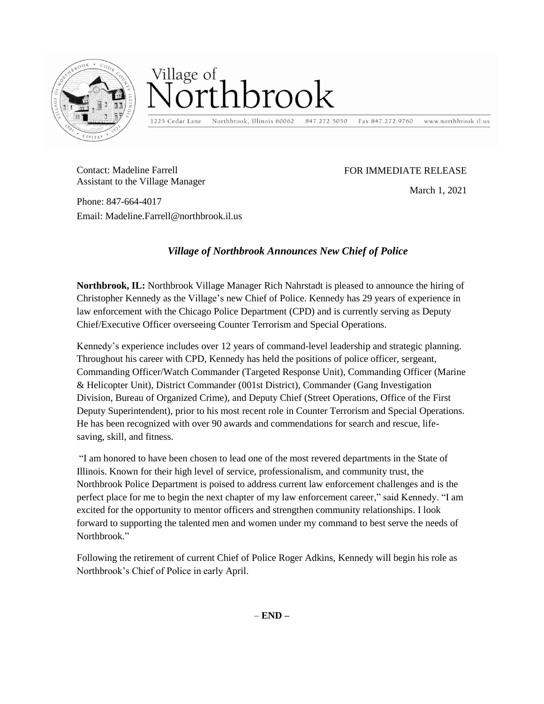

## Village of ibrook

1225 Cedar Lane Northbrook, Illinois 60062

847.272.5050

www.northbrook.il.us Fax 847.272.9760

Contact: Madeline Farrell Assistant to the Village Manager

## FOR IMMEDIATE RELEASE

March 1, 2021

Phone: 847-664-4017 Email: Madeline.Farrell@northbrook.il.us

## *Village of Northbrook Announces New Chief of Police*

**Northbrook, IL:** Northbrook Village Manager Rich Nahrstadt is pleased to announce the hiring of Christopher Kennedy as the Village's new Chief of Police. Kennedy has 29 years of experience in law enforcement with the Chicago Police Department (CPD) and is currently serving as Deputy Chief/Executive Officer overseeing Counter Terrorism and Special Operations.

Kennedy's experience includes over 12 years of command-level leadership and strategic planning. Throughout his career with CPD, Kennedy has held the positions of police officer, sergeant, Commanding Officer/Watch Commander (Targeted Response Unit), Commanding Officer (Marine & Helicopter Unit), District Commander (001st District), Commander (Gang Investigation Division, Bureau of Organized Crime), and Deputy Chief (Street Operations, Office of the First Deputy Superintendent), prior to his most recent role in Counter Terrorism and Special Operations. He has been recognized with over 90 awards and commendations for search and rescue, lifesaving, skill, and fitness.

"I am honored to have been chosen to lead one of the most revered departments in the State of Illinois. Known for their high level of service, professionalism, and community trust, the Northbrook Police Department is poised to address current law enforcement challenges and is the perfect place for me to begin the next chapter of my law enforcement career," said Kennedy. "I am excited for the opportunity to mentor officers and strengthen community relationships. I look forward to supporting the talented men and women under my command to best serve the needs of Northbrook"

Following the retirement of current Chief of Police Roger Adkins, Kennedy will begin his role as Northbrook's Chief of Police in early April.